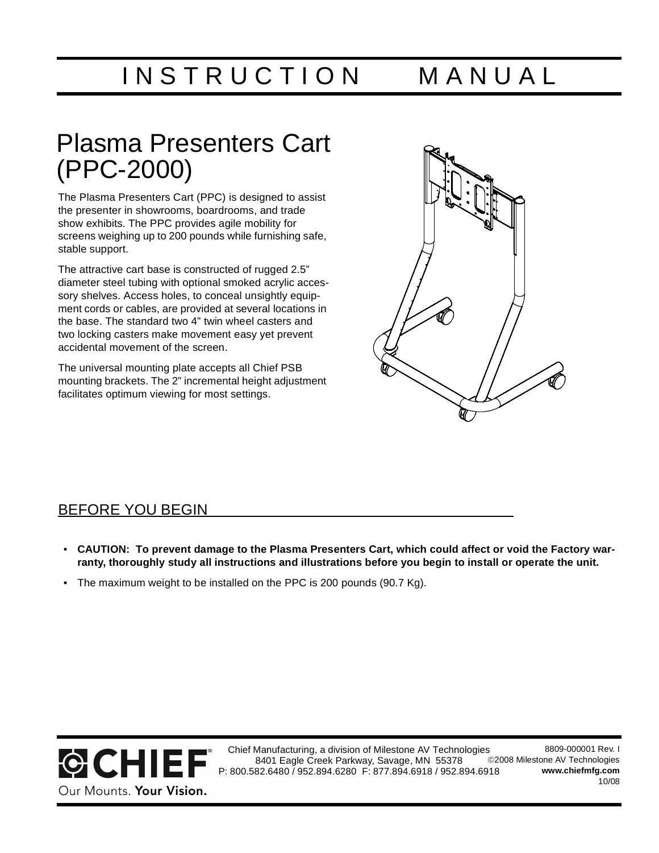INSTRUCTION MANUAL

## Plasma Presenters Cart (PPC-2000)

The Plasma Presenters Cart (PPC) is designed to assist the presenter in showrooms, boardrooms, and trade show exhibits. The PPC provides agile mobility for screens weighing up to 200 pounds while furnishing safe, stable support.

The attractive cart base is constructed of rugged 2.5" diameter steel tubing with optional smoked acrylic accessory shelves. Access holes, to conceal unsightly equipment cords or cables, are provided at several locations in the base. The standard two 4" twin wheel casters and two locking casters make movement easy yet prevent accidental movement of the screen.

The universal mounting plate accepts all Chief PSB mounting brackets. The 2" incremental height adjustment facilitates optimum viewing for most settings.



#### BEFORE YOU BEGIN

- **CAUTION: To prevent damage to the Plasma Presenters Cart, which could affect or void the Factory warranty, thoroughly study all instructions and illustrations before you begin to install or operate the unit.**
- The maximum weight to be installed on the PPC is 200 pounds (90.7 Kg).



Chief Manufacturing, a division of Milestone AV Technologies 8401 Eagle Creek Parkway, Savage, MN 55378 P: 800.582.6480 / 952.894.6280 F: 877.894.6918 / 952.894.6918 8809-000001 Rev. I ©2008 Milestone AV Technologies **[www.chiefmfg.com](http://www.chiefmfg.com)** 10/08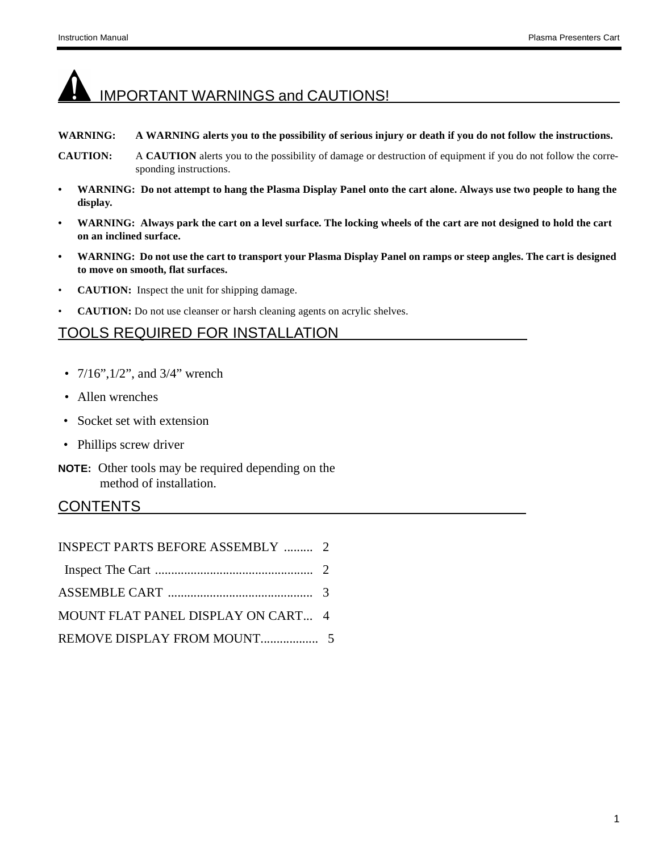# IMPORTANT WARNINGS and CAUTIONS!

#### **WARNING: A WARNING alerts you to the possibility of serious injury or death if you do not follow the instructions.**

- **CAUTION:** A **CAUTION** alerts you to the possibility of damage or destruction of equipment if you do not follow the corresponding instructions.
- **WARNING: Do not attempt to hang the Plasma Display Panel onto the cart alone. Always use two people to hang the display.**
- **WARNING: Always park the cart on a level surface. The locking wheels of the cart are not designed to hold the cart on an inclined surface.**
- **WARNING: Do not use the cart to transport your Plasma Display Panel on ramps or steep angles. The cart is designed to move on smooth, flat surfaces.**
- **CAUTION:** Inspect the unit for shipping damage.
- **CAUTION:** Do not use cleanser or harsh cleaning agents on acrylic shelves.

#### TOOLS REQUIRED FOR INSTALLATION

- $7/16$ ",  $1/2$ ", and  $3/4$ " wrench
- Allen wrenches
- Socket set with extension
- Phillips screw driver
- **NOTE:** Other tools may be required depending on the method of installation.

#### CONTENTS

| <b>INSPECT PARTS BEFORE ASSEMBLY  2</b> |  |
|-----------------------------------------|--|
|                                         |  |
|                                         |  |
| MOUNT FLAT PANEL DISPLAY ON CART 4      |  |
|                                         |  |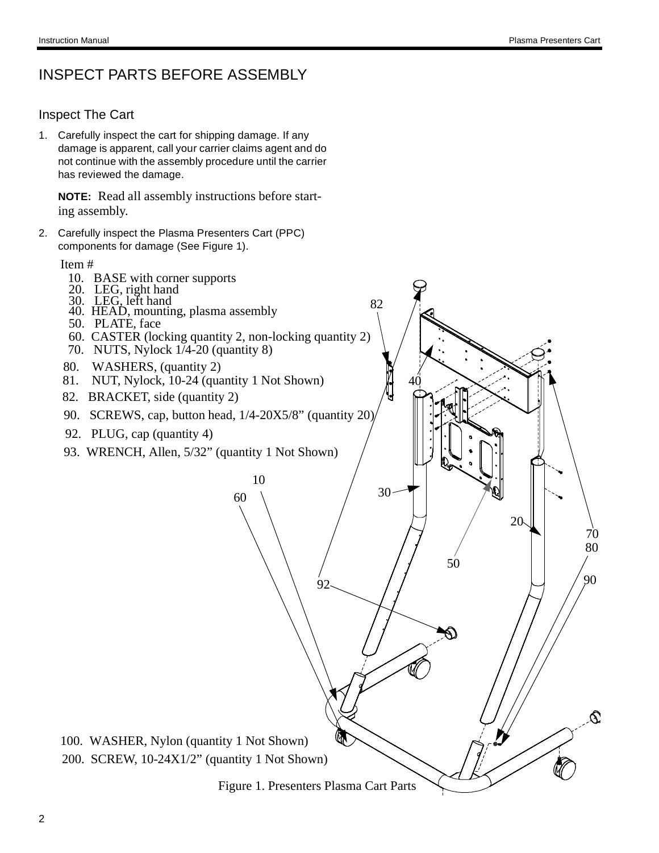20

 $92 \qquad // \qquad 90$ 50

70 80

#### INSPECT PARTS BEFORE ASSEMBLY

#### Inspect The Cart

1. Carefully inspect the cart for shipping damage. If any damage is apparent, call your carrier claims agent and do not continue with the assembly procedure until the carrier has reviewed the damage.

**NOTE:** Read all assembly instructions before starting assembly.

2. Carefully inspect the Plasma Presenters Cart (PPC) components for damage (See Figure 1).

Item #

- 10. BASE with corner supports
- 20. LEG, right hand
- 30. LEG, left hand
- 40. HEAD, mounting, plasma assembly
- 50. PLATE, face
- 60. CASTER (locking quantity 2, non-locking quantity 2)
- 70. NUTS, Nylock 1/4-20 (quantity 8)
- 80. WASHERS, (quantity 2)
- 81. NUT, Nylock, 10-24 (quantity 1 Not Shown)
- 82. BRACKET, side (quantity 2)
- 90. SCREWS, cap, button head,  $1/4$ -20X5/8" (quantity 20)

10

60

- 92. PLUG, cap (quantity 4)
- 93. WRENCH, Allen, 5/32" (quantity 1 Not Shown)

100. WASHER, Nylon (quantity 1 Not Shown) 200. SCREW, 10-24X1/2" (quantity 1 Not Shown)

Figure 1. Presenters Plasma Cart Parts

30

82

40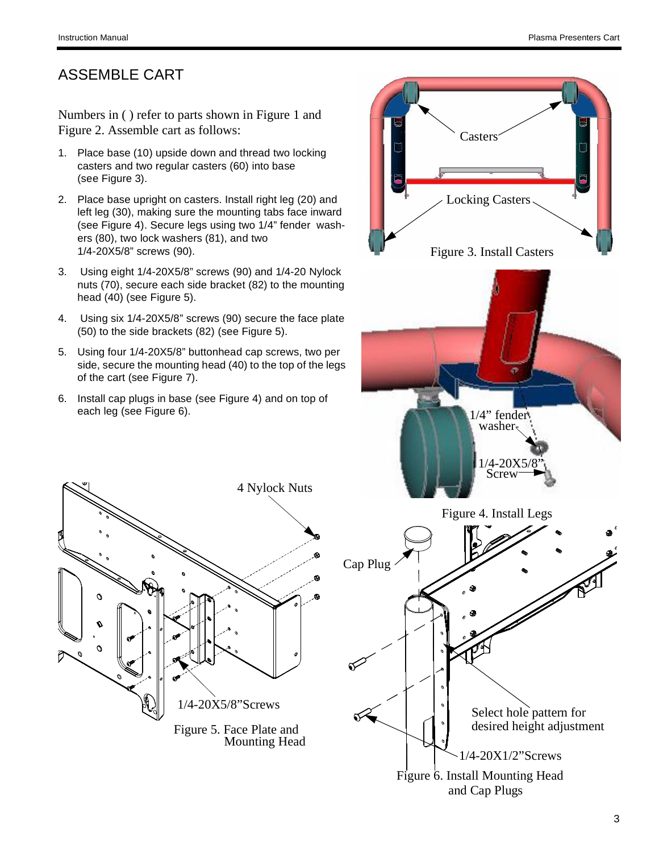Ó

#### ASSEMBLE CART

Numbers in ( ) refer to parts shown in Figure 1 and Figure 2. Assemble cart as follows:

- 1. Place base (10) upside down and thread two locking casters and two regular casters (60) into base (see Figure 3).
- 2. Place base upright on casters. Install right leg (20) and left leg (30), making sure the mounting tabs face inward (see Figure 4). Secure legs using two 1/4" fender washers (80), two lock washers (81), and two 1/4-20X5/8" screws (90).
- 3. Using eight 1/4-20X5/8" screws (90) and 1/4-20 Nylock nuts (70), secure each side bracket (82) to the mounting head (40) (see Figure 5).
- 4. Using six 1/4-20X5/8" screws (90) secure the face plate (50) to the side brackets (82) (see Figure 5).
- 5. Using four 1/4-20X5/8" buttonhead cap screws, two per side, secure the mounting head (40) to the top of the legs of the cart (see Figure 7).

4 Nylock Nuts

1/4-20X5/8"Screws

Figure 5. Face Plate and

Mounting Head

6. Install cap plugs in base (see Figure 4) and on top of each leg (see Figure 6).

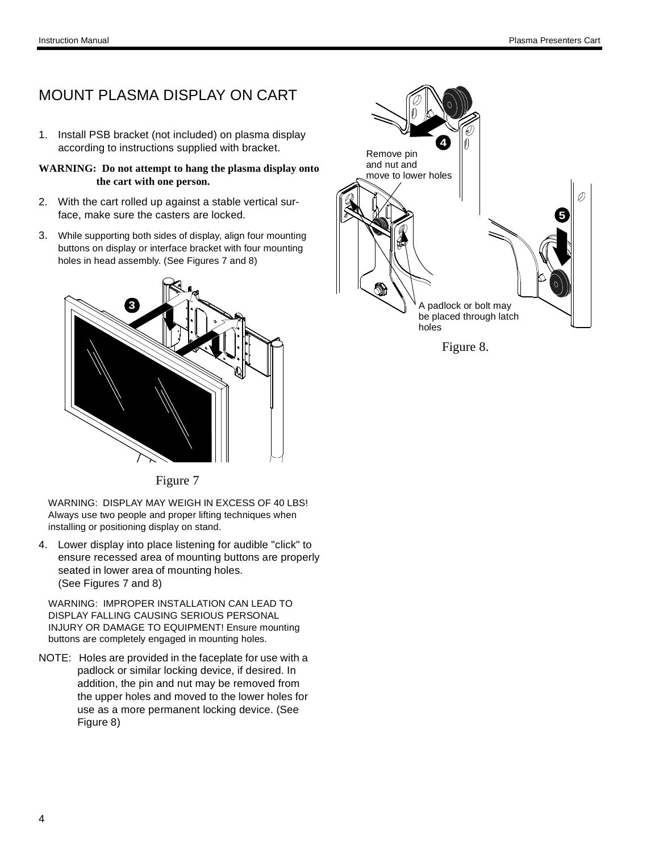### MOUNT PLASMA DISPLAY ON CART

- 1. Install PSB bracket (not included) on plasma display according to instructions supplied with bracket.
- **WARNING: Do not attempt to hang the plasma display onto the cart with one person.**
- 2. With the cart rolled up against a stable vertical surface, make sure the casters are locked.
- 3. While supporting both sides of display, align four mounting buttons on display or interface bracket with four mounting holes in head assembly. (See Figures 7 and 8)



Figure 7

WARNING: DISPLAY MAY WEIGH IN EXCESS OF 40 LBS! Always use two people and proper lifting techniques when installing or positioning display on stand.

4. Lower display into place listening for audible "click" to ensure recessed area of mounting buttons are properly seated in lower area of mounting holes. (See Figures 7 and 8)

WARNING: IMPROPER INSTALLATION CAN LEAD TO DISPLAY FALLING CAUSING SERIOUS PERSONAL INJURY OR DAMAGE TO EQUIPMENT! Ensure mounting buttons are completely engaged in mounting holes.

NOTE: Holes are provided in the faceplate for use with a padlock or similar locking device, if desired. In addition, the pin and nut may be removed from the upper holes and moved to the lower holes for use as a more permanent locking device. (See Figure 8)



Figure 8.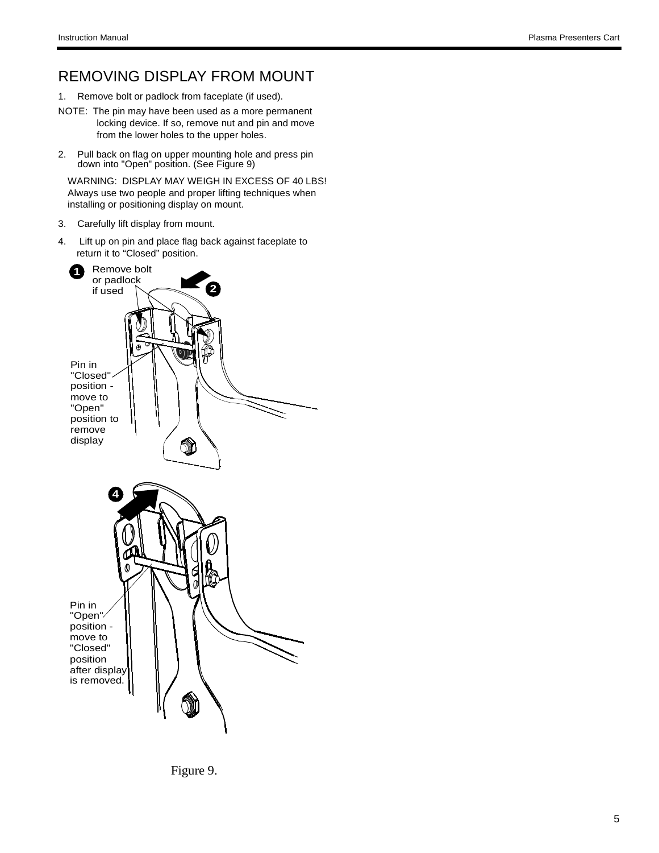#### REMOVING DISPLAY FROM MOUNT

- 1. Remove bolt or padlock from faceplate (if used).
- NOTE: The pin may have been used as a more permanent locking device. If so, remove nut and pin and move from the lower holes to the upper holes.
- 2. Pull back on flag on upper mounting hole and press pin down into "Open" position. (See Figure 9)

WARNING: DISPLAY MAY WEIGH IN EXCESS OF 40 LBS! Always use two people and proper lifting techniques when installing or positioning display on mount.

- 3. Carefully lift display from mount.
- 4. Lift up on pin and place flag back against faceplate to return it to "Closed" position.



Figure 9.